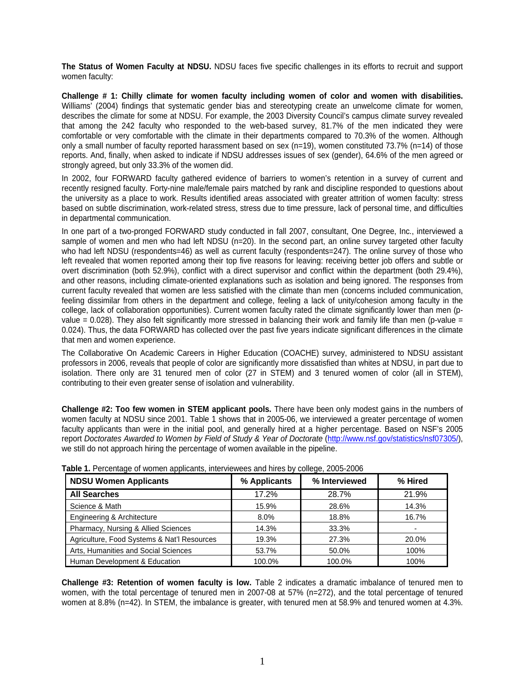**The Status of Women Faculty at NDSU.** NDSU faces five specific challenges in its efforts to recruit and support women faculty:

**Challenge # 1: Chilly climate for women faculty including women of color and women with disabilities.** Williams' (2004) findings that systematic gender bias and stereotyping create an unwelcome climate for women, describes the climate for some at NDSU. For example, the 2003 Diversity Council's campus climate survey revealed that among the 242 faculty who responded to the web-based survey, 81.7% of the men indicated they were comfortable or very comfortable with the climate in their departments compared to 70.3% of the women. Although only a small number of faculty reported harassment based on sex (n=19), women constituted 73.7% (n=14) of those reports. And, finally, when asked to indicate if NDSU addresses issues of sex (gender), 64.6% of the men agreed or strongly agreed, but only 33.3% of the women did.

In 2002, four FORWARD faculty gathered evidence of barriers to women's retention in a survey of current and recently resigned faculty. Forty-nine male/female pairs matched by rank and discipline responded to questions about the university as a place to work. Results identified areas associated with greater attrition of women faculty: stress based on subtle discrimination, work-related stress, stress due to time pressure, lack of personal time, and difficulties in departmental communication.

In one part of a two-pronged FORWARD study conducted in fall 2007, consultant, One Degree, Inc., interviewed a sample of women and men who had left NDSU (n=20). In the second part, an online survey targeted other faculty who had left NDSU (respondents=46) as well as current faculty (respondents=247). The online survey of those who left revealed that women reported among their top five reasons for leaving: receiving better job offers and subtle or overt discrimination (both 52.9%), conflict with a direct supervisor and conflict within the department (both 29.4%), and other reasons, including climate-oriented explanations such as isolation and being ignored. The responses from current faculty revealed that women are less satisfied with the climate than men (concerns included communication, feeling dissimilar from others in the department and college, feeling a lack of unity/cohesion among faculty in the college, lack of collaboration opportunities). Current women faculty rated the climate significantly lower than men (pvalue =  $0.028$ ). They also felt significantly more stressed in balancing their work and family life than men (p-value = 0.024). Thus, the data FORWARD has collected over the past five years indicate significant differences in the climate that men and women experience.

The Collaborative On Academic Careers in Higher Education (COACHE) survey, administered to NDSU assistant professors in 2006, reveals that people of color are significantly more dissatisfied than whites at NDSU, in part due to isolation. There only are 31 tenured men of color (27 in STEM) and 3 tenured women of color (all in STEM), contributing to their even greater sense of isolation and vulnerability.

**Challenge #2: Too few women in STEM applicant pools.** There have been only modest gains in the numbers of women faculty at NDSU since 2001. Table 1 shows that in 2005-06, we interviewed a greater percentage of women faculty applicants than were in the initial pool, and generally hired at a higher percentage. Based on NSF's 2005 report Doctorates Awarded to Women by Field of Study & Year of Doctorate (http://www.nsf.gov/statistics/nsf07305/), we still do not approach hiring the percentage of women available in the pipeline.

| <b>NDSU Women Applicants</b>                | % Applicants | % Interviewed | % Hired |  |
|---------------------------------------------|--------------|---------------|---------|--|
| <b>All Searches</b>                         | 17.2%        | 28.7%         | 21.9%   |  |
| Science & Math                              | 15.9%        | 28.6%         | 14.3%   |  |
| Engineering & Architecture                  | $8.0\%$      | 18.8%         | 16.7%   |  |
| Pharmacy, Nursing & Allied Sciences         | 14.3%        | 33.3%         |         |  |
| Agriculture, Food Systems & Nat'l Resources | 19.3%        | 27.3%         | 20.0%   |  |
| Arts, Humanities and Social Sciences        | 53.7%        | 50.0%         | 100%    |  |
| Human Development & Education               | 100.0%       | 100.0%        | 100%    |  |

**Table 1.** Percentage of women applicants, interviewees and hires by college, 2005-2006

**Challenge #3: Retention of women faculty is low.** Table 2 indicates a dramatic imbalance of tenured men to women, with the total percentage of tenured men in 2007-08 at 57% (n=272), and the total percentage of tenured women at 8.8% (n=42). In STEM, the imbalance is greater, with tenured men at 58.9% and tenured women at 4.3%.